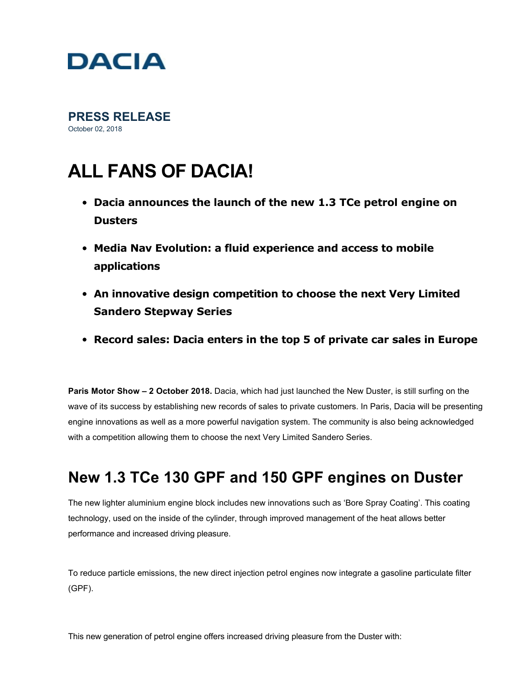

**PRESS RELEASE**  October 02, 2018

# **ALL FANS OF DACIA!**

- **Dacia announces the launch of the new 1.3 TCe petrol engine on Dusters**
- **Media Nav Evolution: a fluid experience and access to mobile applications**
- **An innovative design competition to choose the next Very Limited Sandero Stepway Series**
- **Record sales: Dacia enters in the top 5 of private car sales in Europe**

**Paris Motor Show – 2 October 2018.** Dacia, which had just launched the New Duster, is still surfing on the wave of its success by establishing new records of sales to private customers. In Paris, Dacia will be presenting engine innovations as well as a more powerful navigation system. The community is also being acknowledged with a competition allowing them to choose the next Very Limited Sandero Series.

## **New 1.3 TCe 130 GPF and 150 GPF engines on Duster**

The new lighter aluminium engine block includes new innovations such as 'Bore Spray Coating'. This coating technology, used on the inside of the cylinder, through improved management of the heat allows better performance and increased driving pleasure.

To reduce particle emissions, the new direct injection petrol engines now integrate a gasoline particulate filter (GPF).

This new generation of petrol engine offers increased driving pleasure from the Duster with: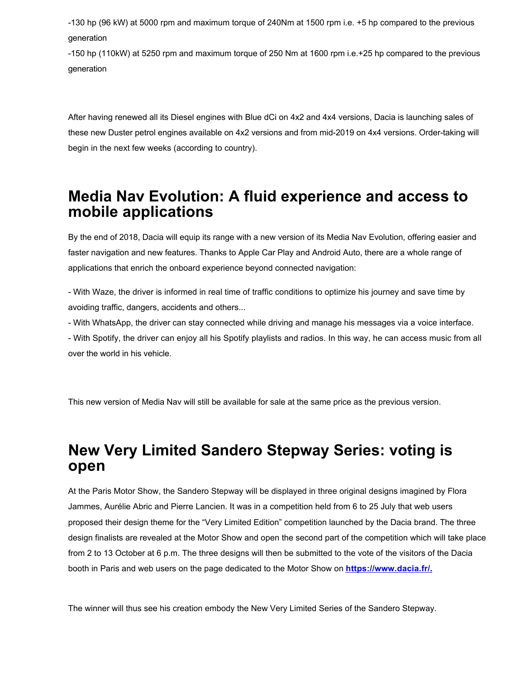130 hp (96 kW) at 5000 rpm and maximum torque of 240Nm at 1500 rpm i.e. +5 hp compared to the previous generation

150 hp (110kW) at 5250 rpm and maximum torque of 250 Nm at 1600 rpm i.e.+25 hp compared to the previous generation

After having renewed all its Diesel engines with Blue dCi on 4x2 and 4x4 versions, Dacia is launching sales of these new Duster petrol engines available on 4x2 versions and from mid-2019 on 4x4 versions. Order-taking will begin in the next few weeks (according to country).

#### **Media Nav Evolution: A fluid experience and access to mobile applications**

By the end of 2018, Dacia will equip its range with a new version of its Media Nav Evolution, offering easier and faster navigation and new features. Thanks to Apple Car Play and Android Auto, there are a whole range of applications that enrich the onboard experience beyond connected navigation:

 With Waze, the driver is informed in real time of traffic conditions to optimize his journey and save time by avoiding traffic, dangers, accidents and others...

With WhatsApp, the driver can stay connected while driving and manage his messages via a voice interface.

 With Spotify, the driver can enjoy all his Spotify playlists and radios. In this way, he can access music from all over the world in his vehicle.

This new version of Media Nav will still be available for sale at the same price as the previous version.

### **New Very Limited Sandero Stepway Series: voting is open**

At the Paris Motor Show, the Sandero Stepway will be displayed in three original designs imagined by Flora Jammes, Aurélie Abric and Pierre Lancien. It was in a competition held from 6 to 25 July that web users proposed their design theme for the "Very Limited Edition" competition launched by the Dacia brand. The three design finalists are revealed at the Motor Show and open the second part of the competition which will take place from 2 to 13 October at 6 p.m. The three designs will then be submitted to the vote of the visitors of the Dacia booth in Paris and web users on the page dedicated to the Motor Show on **[https://www.dacia.fr/.](https://www.dacia.fr/)**

The winner will thus see his creation embody the New Very Limited Series of the Sandero Stepway.